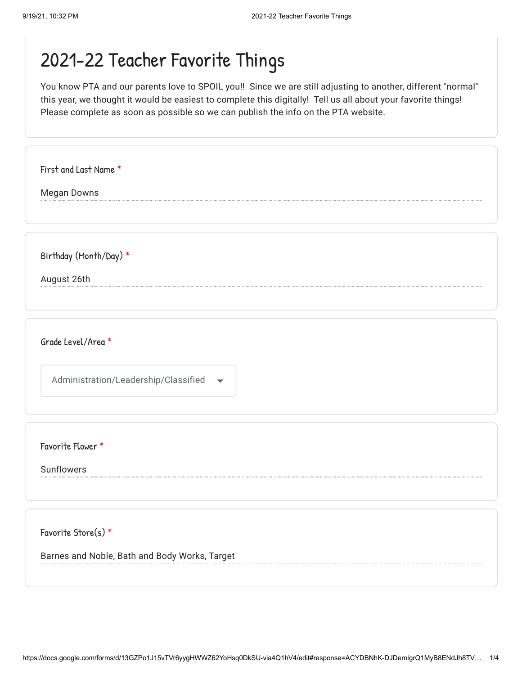## 2021-22 Teacher Favorite Things

You know PTA and our parents love to SPOIL you!! Since we are still adjusting to another, different "normal" this year, we thought it would be easiest to complete this digitally! Tell us all about your favorite things! Please complete as soon as possible so we can publish the info on the PTA website.

Megan Downs August 26th First and Last Name \* Birthday (Month/Day) \*

Grade Level/Area \*

Administration/Leadership/Classified

Favorite Flower \*

Sunflowers

Favorite Store(s) \*

Barnes and Noble, Bath and Body Works, Target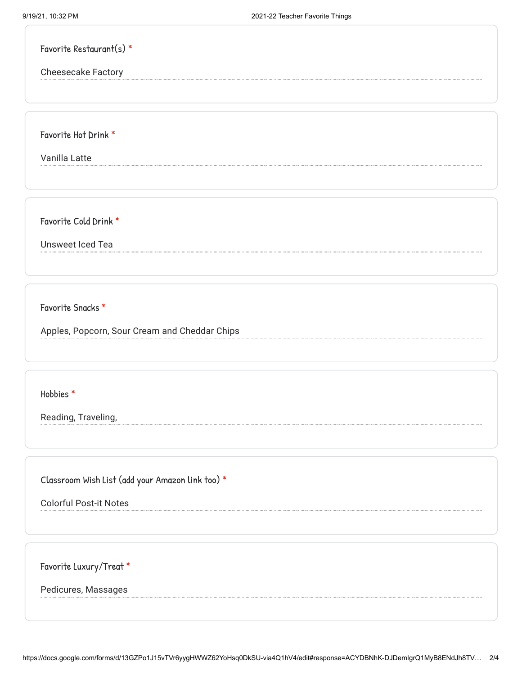| Favorite Restaurant(s) $*$ |  |
|----------------------------|--|
| <b>Cheesecake Factory</b>  |  |
|                            |  |
|                            |  |

Favorite Hot Drink \*

Vanilla Latte

Favorite Cold Drink \*

Unsweet Iced Tea

Favorite Snacks \*

Apples, Popcorn, Sour Cream and Cheddar Chips

Hobbies \*

Reading, Traveling,

Classroom Wish List (add your Amazon link too) \*

Colorful Post-it Notes

Favorite Luxury/Treat \*

Pedicures, Massages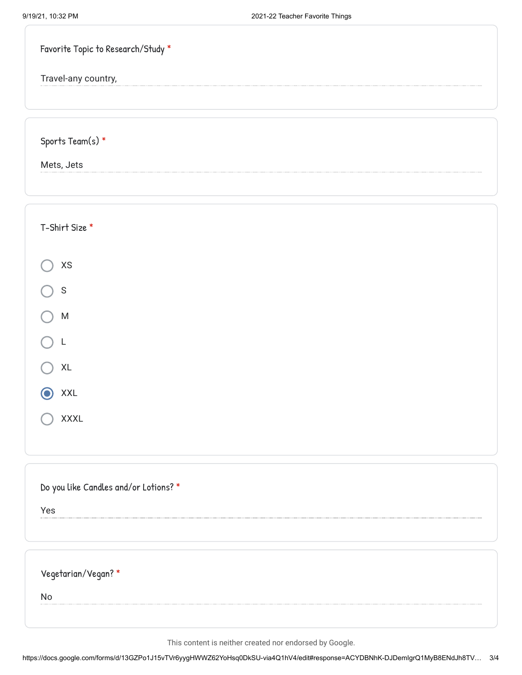| Favorite Topic to Research/Study *    |
|---------------------------------------|
| Travel-any country,                   |
|                                       |
| Sports Team(s) $*$                    |
| Mets, Jets                            |
|                                       |
| T-Shirt Size *                        |
| $\pmb{\mathsf{XS}}$                   |
| $\mathsf S$                           |
| ${\sf M}$                             |
|                                       |
| $\mathsf{XL}$                         |
| <b>XXL</b>                            |
| <b>XXXL</b>                           |
|                                       |
| Do you like Candles and/or Lotions? * |
| Yes                                   |
|                                       |
| Vegetarian/Vegan?*                    |
| <b>No</b>                             |
|                                       |

This content is neither created nor endorsed by Google.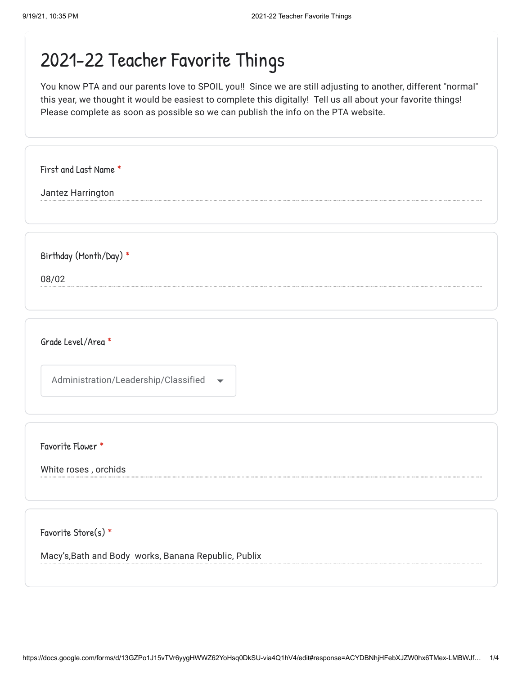## 2021-22 Teacher Favorite Things

You know PTA and our parents love to SPOIL you!! Since we are still adjusting to another, different "normal" this year, we thought it would be easiest to complete this digitally! Tell us all about your favorite things! Please complete as soon as possible so we can publish the info on the PTA website.

| First and Last Name *  |  |
|------------------------|--|
| Jantez Harrington      |  |
|                        |  |
|                        |  |
| Birthday (Month/Day) * |  |
| 08/02                  |  |
|                        |  |
|                        |  |
| Grade Level/Area *     |  |
|                        |  |
|                        |  |

Favorite Flower \*

White roses , orchids

Favorite Store(s) \*

Macy's,Bath and Body works, Banana Republic, Publix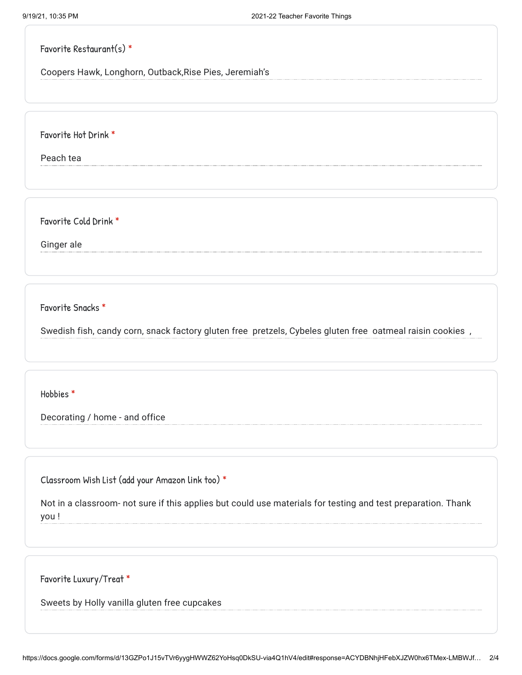#### Favorite Restaurant(s) \*

Coopers Hawk, Longhorn, Outback,Rise Pies, Jeremiah's

Favorite Hot Drink \*

Peach tea

Favorite Cold Drink \*

Ginger ale

Favorite Snacks \*

Swedish fish, candy corn, snack factory gluten free pretzels, Cybeles gluten free oatmeal raisin cookies ,

Hobbies \*

Decorating / home - and office

Classroom Wish List (add your Amazon link too) \*

Not in a classroom- not sure if this applies but could use materials for testing and test preparation. Thank you !

Favorite Luxury/Treat \*

Sweets by Holly vanilla gluten free cupcakes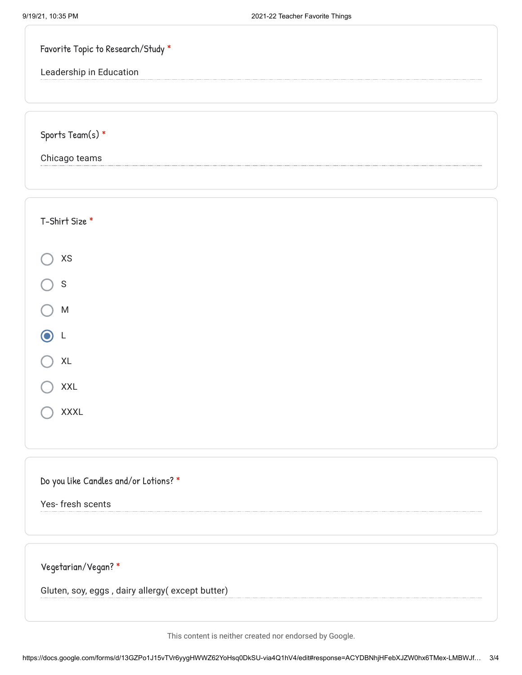| Favorite Topic to Research/Study * |  |
|------------------------------------|--|
| Leadership in Education            |  |
|                                    |  |
|                                    |  |
| Sports Team(s) *                   |  |
| Chicago teams                      |  |

| T-Shirt Size *                    |  |
|-----------------------------------|--|
| $\pmb{\mathsf{XS}}$               |  |
| $\bigcirc$ s                      |  |
| ${\sf M}$<br>$\left(\quad\right)$ |  |
| $\odot$ L                         |  |
| $\mathsf{XL}$<br>(                |  |
| XXL                               |  |
| XXXL                              |  |
|                                   |  |

### Do you like Candles and/or Lotions? \*

Yes- fresh scents

Vegetarian/Vegan? \*

Gluten, soy, eggs , dairy allergy( except butter)

This content is neither created nor endorsed by Google.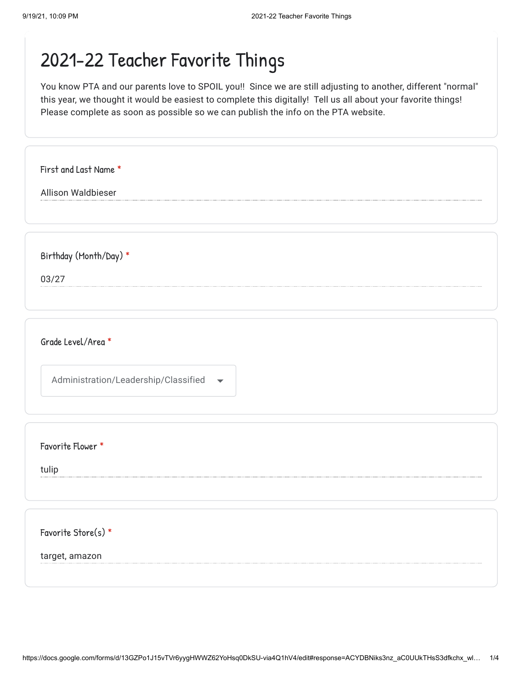# 2021-22 Teacher Favorite Things

You know PTA and our parents love to SPOIL you!! Since we are still adjusting to another, different "normal" this year, we thought it would be easiest to complete this digitally! Tell us all about your favorite things! Please complete as soon as possible so we can publish the info on the PTA website.

| First and Last Name *                                            |  |
|------------------------------------------------------------------|--|
| Allison Waldbieser                                               |  |
|                                                                  |  |
|                                                                  |  |
| Birthday (Month/Day) *                                           |  |
| 03/27                                                            |  |
|                                                                  |  |
|                                                                  |  |
| Grade Level/Area *                                               |  |
|                                                                  |  |
| Administration/Leadership/Classified<br>$\overline{\phantom{a}}$ |  |
|                                                                  |  |
|                                                                  |  |
| Favorite Flower *                                                |  |
| tulip                                                            |  |
|                                                                  |  |
|                                                                  |  |
| Favorite Store(s) *                                              |  |
|                                                                  |  |
| target, amazon                                                   |  |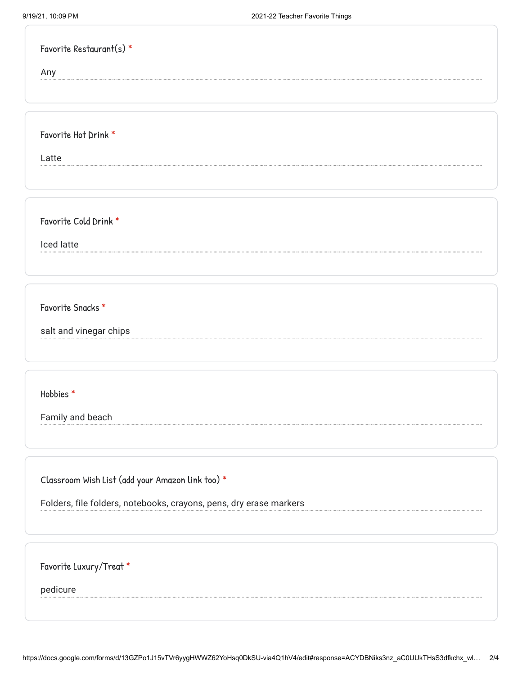| Favorite Restaurant(s) *                                           |  |
|--------------------------------------------------------------------|--|
| Any                                                                |  |
|                                                                    |  |
|                                                                    |  |
| Favorite Hot Drink *                                               |  |
| Latte                                                              |  |
|                                                                    |  |
|                                                                    |  |
| Favorite Cold Drink *                                              |  |
| Iced latte                                                         |  |
|                                                                    |  |
| Favorite Snacks *                                                  |  |
|                                                                    |  |
| salt and vinegar chips                                             |  |
|                                                                    |  |
| Hobbies*                                                           |  |
| Family and beach                                                   |  |
|                                                                    |  |
|                                                                    |  |
| Classroom Wish List (add your Amazon link too) *                   |  |
| Folders, file folders, notebooks, crayons, pens, dry erase markers |  |
|                                                                    |  |
|                                                                    |  |
| Favorite Luxury/Treat *                                            |  |
| pedicure                                                           |  |
|                                                                    |  |